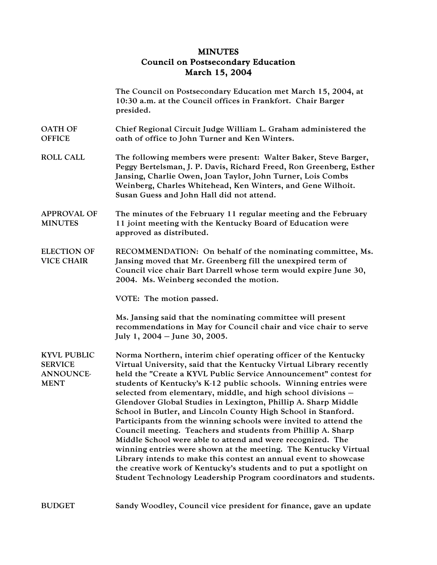## MINUTES Council on Postsecondary Education March 15, 2004

|                                                                         | The Council on Postsecondary Education met March 15, 2004, at<br>10:30 a.m. at the Council offices in Frankfort. Chair Barger<br>presided.                                                                                                                                                                                                                                                                                                                                                                                                                                                                                                                                                                                                                                                                                                                                                                                                                            |
|-------------------------------------------------------------------------|-----------------------------------------------------------------------------------------------------------------------------------------------------------------------------------------------------------------------------------------------------------------------------------------------------------------------------------------------------------------------------------------------------------------------------------------------------------------------------------------------------------------------------------------------------------------------------------------------------------------------------------------------------------------------------------------------------------------------------------------------------------------------------------------------------------------------------------------------------------------------------------------------------------------------------------------------------------------------|
| <b>OATH OF</b><br><b>OFFICE</b>                                         | Chief Regional Circuit Judge William L. Graham administered the<br>oath of office to John Turner and Ken Winters.                                                                                                                                                                                                                                                                                                                                                                                                                                                                                                                                                                                                                                                                                                                                                                                                                                                     |
| <b>ROLL CALL</b>                                                        | The following members were present: Walter Baker, Steve Barger,<br>Peggy Bertelsman, J. P. Davis, Richard Freed, Ron Greenberg, Esther<br>Jansing, Charlie Owen, Joan Taylor, John Turner, Lois Combs<br>Weinberg, Charles Whitehead, Ken Winters, and Gene Wilhoit.<br>Susan Guess and John Hall did not attend.                                                                                                                                                                                                                                                                                                                                                                                                                                                                                                                                                                                                                                                     |
| <b>APPROVAL OF</b><br><b>MINUTES</b>                                    | The minutes of the February 11 regular meeting and the February<br>11 joint meeting with the Kentucky Board of Education were<br>approved as distributed.                                                                                                                                                                                                                                                                                                                                                                                                                                                                                                                                                                                                                                                                                                                                                                                                             |
| <b>ELECTION OF</b><br><b>VICE CHAIR</b>                                 | RECOMMENDATION: On behalf of the nominating committee, Ms.<br>Jansing moved that Mr. Greenberg fill the unexpired term of<br>Council vice chair Bart Darrell whose term would expire June 30,<br>2004. Ms. Weinberg seconded the motion.                                                                                                                                                                                                                                                                                                                                                                                                                                                                                                                                                                                                                                                                                                                              |
|                                                                         | VOTE: The motion passed.                                                                                                                                                                                                                                                                                                                                                                                                                                                                                                                                                                                                                                                                                                                                                                                                                                                                                                                                              |
|                                                                         | Ms. Jansing said that the nominating committee will present<br>recommendations in May for Council chair and vice chair to serve<br>July 1, 2004 – June 30, 2005.                                                                                                                                                                                                                                                                                                                                                                                                                                                                                                                                                                                                                                                                                                                                                                                                      |
| <b>KYVL PUBLIC</b><br><b>SERVICE</b><br><b>ANNOUNCE-</b><br><b>MENT</b> | Norma Northern, interim chief operating officer of the Kentucky<br>Virtual University, said that the Kentucky Virtual Library recently<br>held the "Create a KYVL Public Service Announcement" contest for<br>students of Kentucky's K-12 public schools. Winning entries were<br>selected from elementary, middle, and high school divisions -<br>Glendover Global Studies in Lexington, Phillip A. Sharp Middle<br>School in Butler, and Lincoln County High School in Stanford.<br>Participants from the winning schools were invited to attend the<br>Council meeting. Teachers and students from Phillip A. Sharp<br>Middle School were able to attend and were recognized. The<br>winning entries were shown at the meeting. The Kentucky Virtual<br>Library intends to make this contest an annual event to showcase<br>the creative work of Kentucky's students and to put a spotlight on<br>Student Technology Leadership Program coordinators and students. |
| <b>BUDGET</b>                                                           | Sandy Woodley, Council vice president for finance, gave an update                                                                                                                                                                                                                                                                                                                                                                                                                                                                                                                                                                                                                                                                                                                                                                                                                                                                                                     |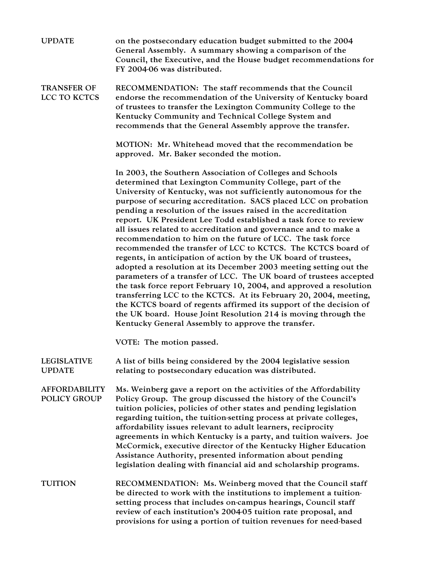| <b>UPDATE</b>                        | on the postsecondary education budget submitted to the 2004<br>General Assembly. A summary showing a comparison of the<br>Council, the Executive, and the House budget recommendations for<br>FY 2004-06 was distributed.                                                                                                                                                                                                                                                                                                                                                                                                                                                                                                                                                                                                                                                                                                                                                                                                                                                                                                                                  |
|--------------------------------------|------------------------------------------------------------------------------------------------------------------------------------------------------------------------------------------------------------------------------------------------------------------------------------------------------------------------------------------------------------------------------------------------------------------------------------------------------------------------------------------------------------------------------------------------------------------------------------------------------------------------------------------------------------------------------------------------------------------------------------------------------------------------------------------------------------------------------------------------------------------------------------------------------------------------------------------------------------------------------------------------------------------------------------------------------------------------------------------------------------------------------------------------------------|
| <b>TRANSFER OF</b><br>LCC TO KCTCS   | RECOMMENDATION: The staff recommends that the Council<br>endorse the recommendation of the University of Kentucky board<br>of trustees to transfer the Lexington Community College to the<br>Kentucky Community and Technical College System and<br>recommends that the General Assembly approve the transfer.                                                                                                                                                                                                                                                                                                                                                                                                                                                                                                                                                                                                                                                                                                                                                                                                                                             |
|                                      | MOTION: Mr. Whitehead moved that the recommendation be<br>approved. Mr. Baker seconded the motion.                                                                                                                                                                                                                                                                                                                                                                                                                                                                                                                                                                                                                                                                                                                                                                                                                                                                                                                                                                                                                                                         |
|                                      | In 2003, the Southern Association of Colleges and Schools<br>determined that Lexington Community College, part of the<br>University of Kentucky, was not sufficiently autonomous for the<br>purpose of securing accreditation. SACS placed LCC on probation<br>pending a resolution of the issues raised in the accreditation<br>report. UK President Lee Todd established a task force to review<br>all issues related to accreditation and governance and to make a<br>recommendation to him on the future of LCC. The task force<br>recommended the transfer of LCC to KCTCS. The KCTCS board of<br>regents, in anticipation of action by the UK board of trustees,<br>adopted a resolution at its December 2003 meeting setting out the<br>parameters of a transfer of LCC. The UK board of trustees accepted<br>the task force report February 10, 2004, and approved a resolution<br>transferring LCC to the KCTCS. At its February 20, 2004, meeting,<br>the KCTCS board of regents affirmed its support of the decision of<br>the UK board. House Joint Resolution 214 is moving through the<br>Kentucky General Assembly to approve the transfer. |
|                                      | VOTE: The motion passed.                                                                                                                                                                                                                                                                                                                                                                                                                                                                                                                                                                                                                                                                                                                                                                                                                                                                                                                                                                                                                                                                                                                                   |
| <b>LEGISLATIVE</b><br><b>UPDATE</b>  | A list of bills being considered by the 2004 legislative session<br>relating to postsecondary education was distributed.                                                                                                                                                                                                                                                                                                                                                                                                                                                                                                                                                                                                                                                                                                                                                                                                                                                                                                                                                                                                                                   |
| <b>AFFORDABILITY</b><br>POLICY GROUP | Ms. Weinberg gave a report on the activities of the Affordability<br>Policy Group. The group discussed the history of the Council's<br>tuition policies, policies of other states and pending legislation<br>regarding tuition, the tuition-setting process at private colleges,<br>affordability issues relevant to adult learners, reciprocity<br>agreements in which Kentucky is a party, and tuition waivers. Joe<br>McCormick, executive director of the Kentucky Higher Education<br>Assistance Authority, presented information about pending<br>legislation dealing with financial aid and scholarship programs.                                                                                                                                                                                                                                                                                                                                                                                                                                                                                                                                   |
| <b>TUITION</b>                       | RECOMMENDATION: Ms. Weinberg moved that the Council staff<br>be directed to work with the institutions to implement a tuition-<br>setting process that includes on-campus hearings, Council staff<br>review of each institution's 2004-05 tuition rate proposal, and<br>provisions for using a portion of tuition revenues for need-based                                                                                                                                                                                                                                                                                                                                                                                                                                                                                                                                                                                                                                                                                                                                                                                                                  |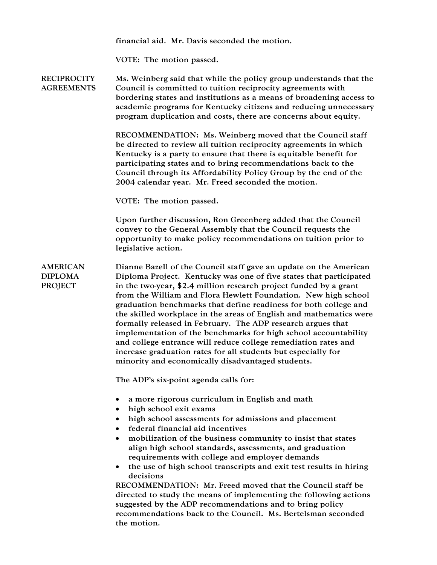financial aid. Mr. Davis seconded the motion.

VOTE: The motion passed.

**RECIPROCITY** AGREEMENTS Ms. Weinberg said that while the policy group understands that the Council is committed to tuition reciprocity agreements with bordering states and institutions as a means of broadening access to academic programs for Kentucky citizens and reducing unnecessary program duplication and costs, there are concerns about equity.

> RECOMMENDATION: Ms. Weinberg moved that the Council staff be directed to review all tuition reciprocity agreements in which Kentucky is a party to ensure that there is equitable benefit for participating states and to bring recommendations back to the Council through its Affordability Policy Group by the end of the 2004 calendar year. Mr. Freed seconded the motion.

VOTE: The motion passed.

Upon further discussion, Ron Greenberg added that the Council convey to the General Assembly that the Council requests the opportunity to make policy recommendations on tuition prior to legislative action.

AMERICAN DIPLOMA PROJECT

Dianne Bazell of the Council staff gave an update on the American Diploma Project. Kentucky was one of five states that participated in the two-year, \$2.4 million research project funded by a grant from the William and Flora Hewlett Foundation. New high school graduation benchmarks that define readiness for both college and the skilled workplace in the areas of English and mathematics were formally released in February. The ADP research argues that implementation of the benchmarks for high school accountability and college entrance will reduce college remediation rates and increase graduation rates for all students but especially for minority and economically disadvantaged students.

The ADP's six-point agenda calls for:

- a more rigorous curriculum in English and math
- high school exit exams
- high school assessments for admissions and placement
- federal financial aid incentives
- mobilization of the business community to insist that states align high school standards, assessments, and graduation requirements with college and employer demands
- the use of high school transcripts and exit test results in hiring decisions

RECOMMENDATION: Mr. Freed moved that the Council staff be directed to study the means of implementing the following actions suggested by the ADP recommendations and to bring policy recommendations back to the Council. Ms. Bertelsman seconded the motion.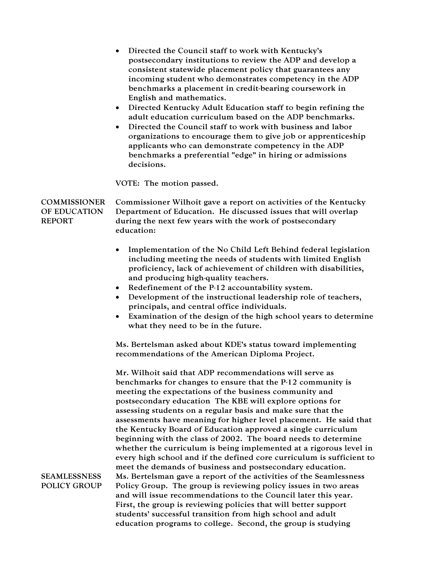|                                                      | Directed the Council staff to work with Kentucky's<br>postsecondary institutions to review the ADP and develop a<br>consistent statewide placement policy that guarantees any<br>incoming student who demonstrates competency in the ADP<br>benchmarks a placement in credit-bearing coursework in<br>English and mathematics.<br>• Directed Kentucky Adult Education staff to begin refining the<br>adult education curriculum based on the ADP benchmarks.<br>Directed the Council staff to work with business and labor<br>$\bullet$<br>organizations to encourage them to give job or apprenticeship<br>applicants who can demonstrate competency in the ADP<br>benchmarks a preferential "edge" in hiring or admissions<br>decisions.<br>VOTE: The motion passed. |
|------------------------------------------------------|------------------------------------------------------------------------------------------------------------------------------------------------------------------------------------------------------------------------------------------------------------------------------------------------------------------------------------------------------------------------------------------------------------------------------------------------------------------------------------------------------------------------------------------------------------------------------------------------------------------------------------------------------------------------------------------------------------------------------------------------------------------------|
|                                                      |                                                                                                                                                                                                                                                                                                                                                                                                                                                                                                                                                                                                                                                                                                                                                                        |
| <b>COMMISSIONER</b><br>OF EDUCATION<br><b>REPORT</b> | Commissioner Wilhoit gave a report on activities of the Kentucky<br>Department of Education. He discussed issues that will overlap<br>during the next few years with the work of postsecondary<br>education:                                                                                                                                                                                                                                                                                                                                                                                                                                                                                                                                                           |
|                                                      | Implementation of the No Child Left Behind federal legislation<br>including meeting the needs of students with limited English<br>proficiency, lack of achievement of children with disabilities,<br>and producing high-quality teachers.<br>Redefinement of the P-12 accountability system.<br>$\bullet$<br>Development of the instructional leadership role of teachers,<br>$\bullet$<br>principals, and central office individuals.<br>Examination of the design of the high school years to determine<br>$\bullet$<br>what they need to be in the future.                                                                                                                                                                                                          |
|                                                      | Ms. Bertelsman asked about KDE's status toward implementing<br>recommendations of the American Diploma Project.                                                                                                                                                                                                                                                                                                                                                                                                                                                                                                                                                                                                                                                        |
|                                                      | Mr. Wilhoit said that ADP recommendations will serve as<br>benchmarks for changes to ensure that the P-12 community is<br>meeting the expectations of the business community and<br>postsecondary education The KBE will explore options for<br>assessing students on a regular basis and make sure that the<br>assessments have meaning for higher level placement. He said that<br>the Kentucky Board of Education approved a single curriculum<br>beginning with the class of 2002. The board needs to determine<br>whether the curriculum is being implemented at a rigorous level in<br>every high school and if the defined core curriculum is sufficient to<br>meet the demands of business and postsecondary education.                                        |
| <b>SEAMLESSNESS</b><br><b>POLICY GROUP</b>           | Ms. Bertelsman gave a report of the activities of the Seamlessness<br>Policy Group. The group is reviewing policy issues in two areas<br>and will issue recommendations to the Council later this year.<br>First, the group is reviewing policies that will better support<br>students' successful transition from high school and adult<br>education programs to college. Second, the group is studying                                                                                                                                                                                                                                                                                                                                                               |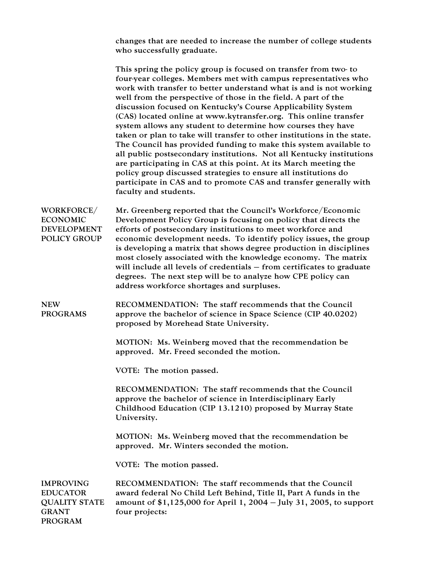changes that are needed to increase the number of college students who successfully graduate.

This spring the policy group is focused on transfer from two- to four-year colleges. Members met with campus representatives who work with transfer to better understand what is and is not working well from the perspective of those in the field. A part of the discussion focused on Kentucky's Course Applicability System (CAS) located online at www.kytransfer.org. This online transfer system allows any student to determine how courses they have taken or plan to take will transfer to other institutions in the state. The Council has provided funding to make this system available to all public postsecondary institutions. Not all Kentucky institutions are participating in CAS at this point. At its March meeting the policy group discussed strategies to ensure all institutions do participate in CAS and to promote CAS and transfer generally with faculty and students.

WORKFORCE/ ECONOMIC DEVELOPMENT POLICY GROUP Mr. Greenberg reported that the Council's Workforce/Economic Development Policy Group is focusing on policy that directs the efforts of postsecondary institutions to meet workforce and economic development needs. To identify policy issues, the group is developing a matrix that shows degree production in disciplines most closely associated with the knowledge economy. The matrix will include all levels of credentials – from certificates to graduate degrees. The next step will be to analyze how CPE policy can address workforce shortages and surpluses.

NEW PROGRAMS RECOMMENDATION: The staff recommends that the Council approve the bachelor of science in Space Science (CIP 40.0202) proposed by Morehead State University.

> MOTION: Ms. Weinberg moved that the recommendation be approved. Mr. Freed seconded the motion.

VOTE: The motion passed.

RECOMMENDATION: The staff recommends that the Council approve the bachelor of science in Interdisciplinary Early Childhood Education (CIP 13.1210) proposed by Murray State University.

MOTION: Ms. Weinberg moved that the recommendation be approved. Mr. Winters seconded the motion.

VOTE: The motion passed.

IMPROVING EDUCATOR QUALITY STATE GRANT PROGRAM RECOMMENDATION: The staff recommends that the Council award federal No Child Left Behind, Title II, Part A funds in the amount of \$1,125,000 for April 1, 2004 – July 31, 2005, to support four projects: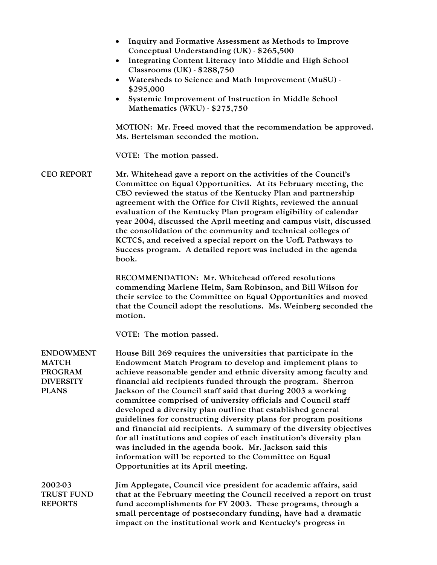- Inquiry and Formative Assessment as Methods to Improve Conceptual Understanding (UK) - \$265,500
- Integrating Content Literacy into Middle and High School Classrooms (UK) - \$288,750
- Watersheds to Science and Math Improvement (MuSU) \$295,000
- Systemic Improvement of Instruction in Middle School Mathematics (WKU) - \$275,750

MOTION: Mr. Freed moved that the recommendation be approved. Ms. Bertelsman seconded the motion.

VOTE: The motion passed.

CEO REPORT Mr. Whitehead gave a report on the activities of the Council's Committee on Equal Opportunities. At its February meeting, the CEO reviewed the status of the Kentucky Plan and partnership agreement with the Office for Civil Rights, reviewed the annual evaluation of the Kentucky Plan program eligibility of calendar year 2004, discussed the April meeting and campus visit, discussed the consolidation of the community and technical colleges of KCTCS, and received a special report on the UofL Pathways to Success program. A detailed report was included in the agenda book.

> RECOMMENDATION: Mr. Whitehead offered resolutions commending Marlene Helm, Sam Robinson, and Bill Wilson for their service to the Committee on Equal Opportunities and moved that the Council adopt the resolutions. Ms. Weinberg seconded the motion.

VOTE: The motion passed.

| <b>ENDOWMENT</b>  | House Bill 269 requires the universities that participate in the     |
|-------------------|----------------------------------------------------------------------|
| <b>MATCH</b>      | Endowment Match Program to develop and implement plans to            |
| <b>PROGRAM</b>    | achieve reasonable gender and ethnic diversity among faculty and     |
| <b>DIVERSITY</b>  | financial aid recipients funded through the program. Sherron         |
| <b>PLANS</b>      | Jackson of the Council staff said that during 2003 a working         |
|                   | committee comprised of university officials and Council staff        |
|                   | developed a diversity plan outline that established general          |
|                   | guidelines for constructing diversity plans for program positions    |
|                   | and financial aid recipients. A summary of the diversity objectives  |
|                   | for all institutions and copies of each institution's diversity plan |
|                   | was included in the agenda book. Mr. Jackson said this               |
|                   | information will be reported to the Committee on Equal               |
|                   | Opportunities at its April meeting.                                  |
| 2002-03           | Jim Applegate, Council vice president for academic affairs, said     |
| <b>TRUST FUND</b> | that at the February meeting the Council received a report on trust  |
| <b>REPORTS</b>    | fund accomplishments for FY 2003. These programs, through a          |
|                   | small percentage of postsecondary funding, have had a dramatic       |
|                   | impact on the institutional work and Kentucky's progress in          |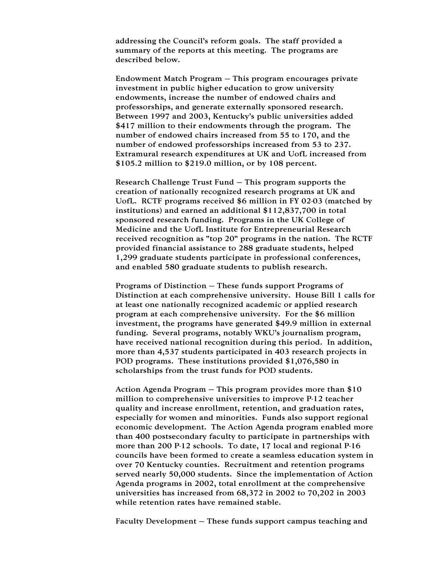addressing the Council's reform goals. The staff provided a summary of the reports at this meeting. The programs are described below.

Endowment Match Program – This program encourages private investment in public higher education to grow university endowments, increase the number of endowed chairs and professorships, and generate externally sponsored research. Between 1997 and 2003, Kentucky's public universities added \$417 million to their endowments through the program. The number of endowed chairs increased from 55 to 170, and the number of endowed professorships increased from 53 to 237. Extramural research expenditures at UK and UofL increased from \$105.2 million to \$219.0 million, or by 108 percent.

Research Challenge Trust Fund – This program supports the creation of nationally recognized research programs at UK and UofL. RCTF programs received \$6 million in FY 02-03 (matched by institutions) and earned an additional \$112,837,700 in total sponsored research funding. Programs in the UK College of Medicine and the UofL Institute for Entrepreneurial Research received recognition as "top 20" programs in the nation. The RCTF provided financial assistance to 288 graduate students, helped 1,299 graduate students participate in professional conferences, and enabled 580 graduate students to publish research.

Programs of Distinction – These funds support Programs of Distinction at each comprehensive university. House Bill 1 calls for at least one nationally recognized academic or applied research program at each comprehensive university. For the \$6 million investment, the programs have generated \$49.9 million in external funding. Several programs, notably WKU's journalism program, have received national recognition during this period. In addition, more than 4,537 students participated in 403 research projects in POD programs. These institutions provided \$1,076,580 in scholarships from the trust funds for POD students.

Action Agenda Program – This program provides more than \$10 million to comprehensive universities to improve P-12 teacher quality and increase enrollment, retention, and graduation rates, especially for women and minorities. Funds also support regional economic development. The Action Agenda program enabled more than 400 postsecondary faculty to participate in partnerships with more than 200 P-12 schools. To date, 17 local and regional P-16 councils have been formed to create a seamless education system in over 70 Kentucky counties. Recruitment and retention programs served nearly 50,000 students. Since the implementation of Action Agenda programs in 2002, total enrollment at the comprehensive universities has increased from 68,372 in 2002 to 70,202 in 2003 while retention rates have remained stable.

Faculty Development – These funds support campus teaching and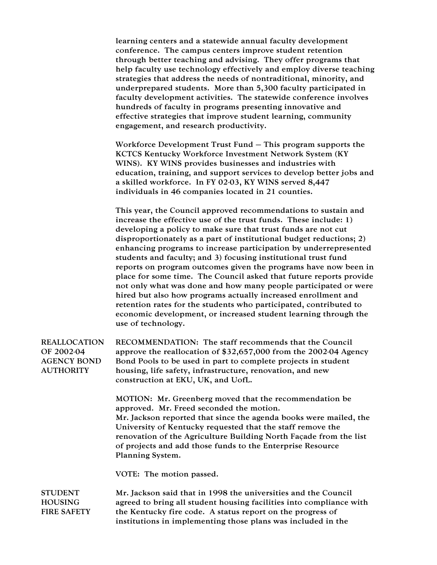learning centers and a statewide annual faculty development conference. The campus centers improve student retention through better teaching and advising. They offer programs that help faculty use technology effectively and employ diverse teaching strategies that address the needs of nontraditional, minority, and underprepared students. More than 5,300 faculty participated in faculty development activities. The statewide conference involves hundreds of faculty in programs presenting innovative and effective strategies that improve student learning, community engagement, and research productivity.

Workforce Development Trust Fund – This program supports the KCTCS Kentucky Workforce Investment Network System (KY WINS). KY WINS provides businesses and industries with education, training, and support services to develop better jobs and a skilled workforce. In FY 02-03, KY WINS served 8,447 individuals in 46 companies located in 21 counties.

This year, the Council approved recommendations to sustain and increase the effective use of the trust funds. These include: 1) developing a policy to make sure that trust funds are not cut disproportionately as a part of institutional budget reductions; 2) enhancing programs to increase participation by underrepresented students and faculty; and 3) focusing institutional trust fund reports on program outcomes given the programs have now been in place for some time. The Council asked that future reports provide not only what was done and how many people participated or were hired but also how programs actually increased enrollment and retention rates for the students who participated, contributed to economic development, or increased student learning through the use of technology.

REALLOCATION OF 2002-04 AGENCY BOND **AUTHORITY** RECOMMENDATION: The staff recommends that the Council approve the reallocation of \$32,657,000 from the 2002-04 Agency Bond Pools to be used in part to complete projects in student housing, life safety, infrastructure, renovation, and new construction at EKU, UK, and UofL.

> MOTION: Mr. Greenberg moved that the recommendation be approved. Mr. Freed seconded the motion. Mr. Jackson reported that since the agenda books were mailed, the University of Kentucky requested that the staff remove the renovation of the Agriculture Building North Façade from the list of projects and add those funds to the Enterprise Resource Planning System.

VOTE: The motion passed.

**STUDENT** HOUSING FIRE SAFETY Mr. Jackson said that in 1998 the universities and the Council agreed to bring all student housing facilities into compliance with the Kentucky fire code. A status report on the progress of institutions in implementing those plans was included in the